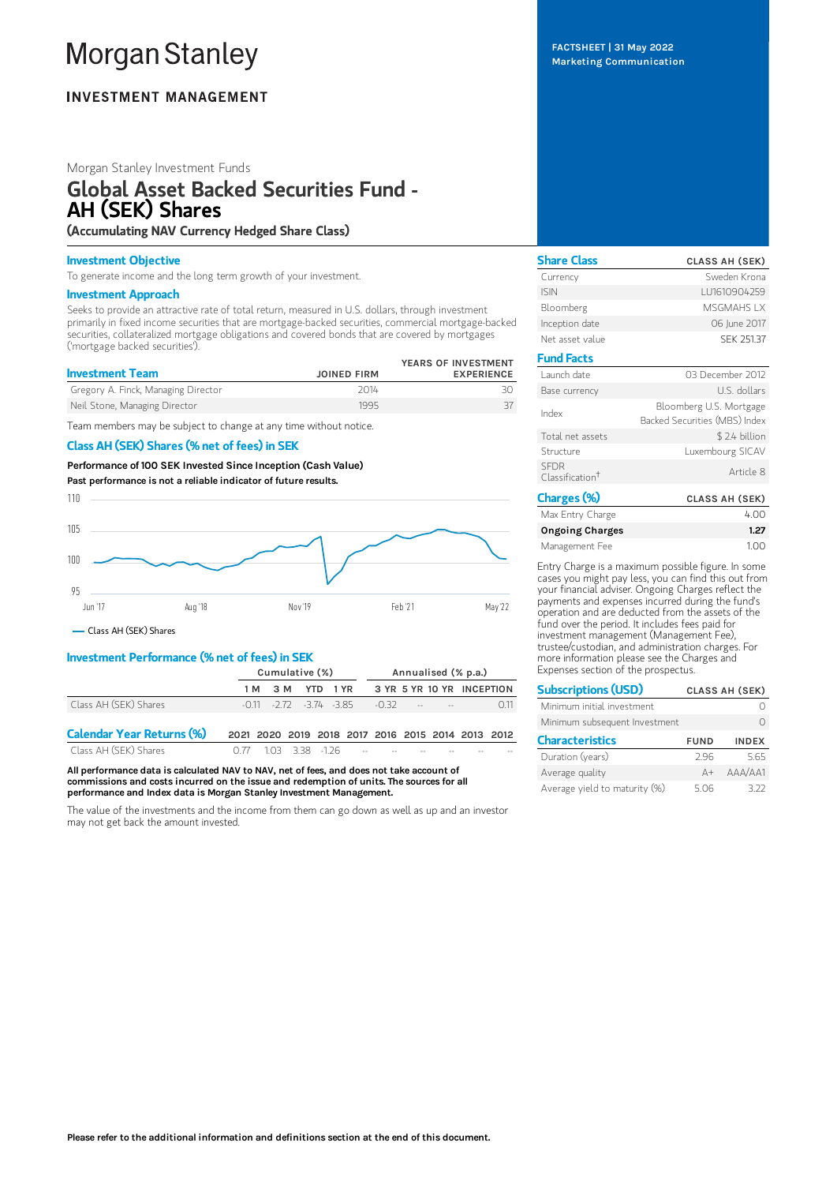# **Morgan Stanley**

## **INVESTMENT MANAGEMENT**

## Morgan Stanley Investment Funds

## Global Asset Backed Securities Fund - AH (SEK) Shares

## (Accumulating NAV Currency Hedged Share Class)

## Investment Objective

To generate income and the long term growth of your investment.

## Investment Approach

Seeks to provide an attractive rate of total return, measured in U.S. dollars, through investment primarily in fixed income securities that are mortgage-backed securities, commercial mortgage-backed securities, collateralized mortgage obligations and covered bonds that are covered by mortgages ('mortgage backed securities').

| <b>Investment Team</b>              | <b>JOINED FIRM</b> | YEARS OF INVESTMENT<br><b>EXPERIENCE</b> |
|-------------------------------------|--------------------|------------------------------------------|
| Gregory A. Finck, Managing Director | 2014               |                                          |
| Neil Stone, Managing Director       | 1995               |                                          |

Team members may be subject to change at any time without notice.

## Class AH (SEK) Shares (% net of fees) in SEK

Performance of 100 SEK Invested Since Inception (Cash Value) Past performance is not a reliable indicator of future results.



Class AH (SEK) Shares

## Investment Performance (% net of fees) in SEK

|                                  | Cumulative (%)                                    |                  |  |  | Annualised (% p.a.)                                                                                                                                                                                                            |  |  |                           |              |
|----------------------------------|---------------------------------------------------|------------------|--|--|--------------------------------------------------------------------------------------------------------------------------------------------------------------------------------------------------------------------------------|--|--|---------------------------|--------------|
|                                  |                                                   | 1 M 3 M YTD 1 YR |  |  |                                                                                                                                                                                                                                |  |  | 3 YR 5 YR 10 YR INCEPTION |              |
| Class AH (SEK) Shares            |                                                   |                  |  |  | $-0.11$ $-2.72$ $-3.74$ $-3.85$ $-0.32$ $ -$                                                                                                                                                                                   |  |  |                           | $\bigcap$ 11 |
| <b>Calendar Year Returns (%)</b> | 2021 2020 2019 2018 2017 2016 2015 2014 2013 2012 |                  |  |  |                                                                                                                                                                                                                                |  |  |                           |              |
| Class AH (SEK) Shares            |                                                   |                  |  |  | $0.77$ $1.03$ $3.38$ $1.26$ $1.26$ $1.26$ $1.26$ $1.26$ $1.26$ $1.26$ $1.26$ $1.26$ $1.26$ $1.26$ $1.26$ $1.26$ $1.26$ $1.26$ $1.26$ $1.26$ $1.26$ $1.26$ $1.26$ $1.26$ $1.26$ $1.26$ $1.26$ $1.26$ $1.26$ $1.26$ $1.26$ $1.2$ |  |  |                           |              |

All performance data is calculated NAV to NAV, net of fees, and does not take account of commissions and costs incurred on the issue and redemption of units. The sources for all performance and Index data is Morgan Stanley Investment Management.

The value of the investments and the income from them can go down as well as up and an investor may not get back the amount invested.

FACTSHEET | 31 May 2022 Marketing Communication

| <b>Share Class</b>                         | <b>CLASS AH (SEK)</b>                                    |
|--------------------------------------------|----------------------------------------------------------|
| Currency                                   | Sweden Krona                                             |
| <b>ISIN</b>                                | LU1610904259                                             |
| Bloomberg                                  | <b>MSGMAHS I X</b>                                       |
| Inception date                             | 06 June 2017                                             |
| Net asset value                            | <b>SFK 251.37</b>                                        |
| <b>Fund Facts</b>                          |                                                          |
| Launch date                                | 03 December 2012                                         |
| Base currency                              | U.S. dollars                                             |
| Index                                      | Bloomberg U.S. Mortgage<br>Backed Securities (MBS) Index |
| Total net assets                           | \$2.4 billion                                            |
| Structure                                  | Luxembourg SICAV                                         |
| <b>SFDR</b><br>Classification <sup>+</sup> | Article 8                                                |
| Charges (%)                                | <b>CLASS AH (SEK)</b>                                    |
| May Entry Charge                           | $\overline{1}$ . $\cap$                                  |

| Max Entry Charge | 4.00 |
|------------------|------|
| Ongoing Charges  | 1.27 |
| Management Fee   | 1.00 |

Entry Charge is a maximum possible figure. In some cases you might pay less, you can find this out from your financial adviser. Ongoing Charges reflect the payments and expenses incurred during the fund's operation and are deducted from the assets of the fund over the period. It includes fees paid for investment management (Management Fee), trustee/custodian, and administration charges. For more information please see the Charges and Expenses section of the prospectus.

| <b>Subscriptions (USD)</b>    |             | <b>CLASS AH (SEK)</b> |
|-------------------------------|-------------|-----------------------|
| Minimum initial investment    |             |                       |
| Minimum subsequent Investment |             |                       |
| <b>Characteristics</b>        | <b>FUND</b> | <b>INDEX</b>          |
| Duration (years)              | 296         | 565                   |
| Average quality               | $A +$       | AAA/AA1               |
| Average yield to maturity (%) | 506         | 372                   |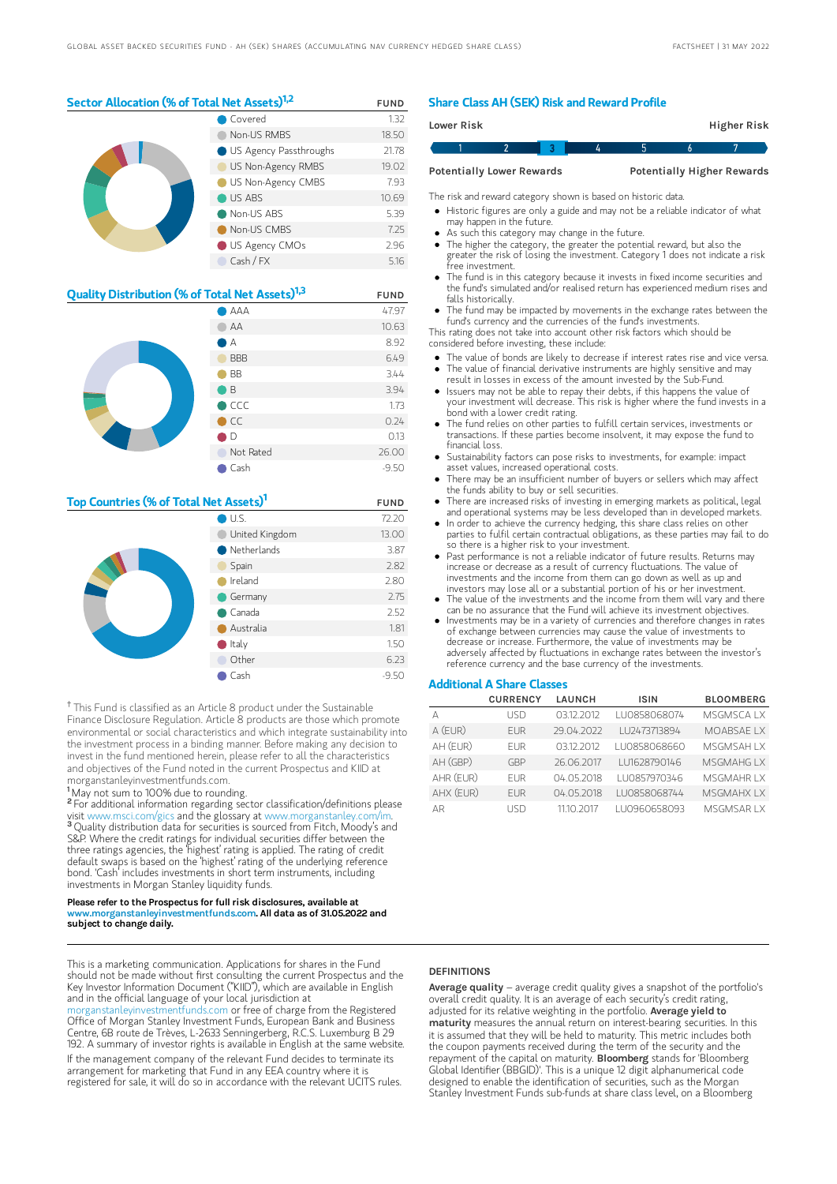## Sector Allocation (% of Total Net Assets)<sup>1,2</sup> FUND

|  | Covered                | 1.32  |
|--|------------------------|-------|
|  | Non-US RMBS            | 18.50 |
|  | US Agency Passthroughs | 21.78 |
|  | US Non-Agency RMBS     | 19.02 |
|  | US Non-Agency CMBS     | 7.93  |
|  | US ABS                 | 10.69 |
|  | Non-US ABS             | 5.39  |
|  | Non-US CMBS            | 7.25  |
|  | US Agency CMOs         | 2.96  |
|  | Cash / FX              | 5.16  |

| <b>Quality Distribution (% of Total Net Assets)</b> <sup>1,3</sup> |                | <b>FUND</b> |
|--------------------------------------------------------------------|----------------|-------------|
|                                                                    | AAA            | 47.97       |
|                                                                    | AA             | 10.63       |
|                                                                    | А              | 8.92        |
|                                                                    | <b>BBB</b>     | 6.49        |
|                                                                    | <b>BB</b>      | 3.44        |
|                                                                    | ιB             | 3.94        |
|                                                                    | $\bigcirc$ CCC | 1.73        |
|                                                                    | $\bullet$ CC   | 0.24        |
|                                                                    | D              | 0.13        |
|                                                                    | Not Rated      | 26.00       |
|                                                                    | Cash           | $-9.50$     |

## Top Countries (% of Total Net Assets)<sup>1</sup> FUND

|  | U.S.                  | 72.20   |
|--|-----------------------|---------|
|  | United Kingdom        | 13.00   |
|  | $\bullet$ Netherlands | 3.87    |
|  | Spain                 | 2.82    |
|  | Ireland               | 2.80    |
|  | Germany               | 2.75    |
|  | $\bullet$ Canada      | 2.52    |
|  | Australia             | 1.81    |
|  | $\bullet$ Italy       | 1.50    |
|  | Other                 | 6.23    |
|  | Cash                  | $-9.50$ |

<sup>†</sup> This Fund is classified as an Article 8 product under the Sustainable Finance Disclosure Regulation. Article 8 products are those which promote environmental or social characteristics and which integrate sustainability into the investment process in a binding manner. Before making any decision to invest in the fund mentioned herein, please refer to all the characteristics and objectives of the Fund noted in the current Prospectus and KIID at morganstanleyinvestmentfunds.com.

<sup>1</sup>May not sum to 100% due to rounding.

<sup>2</sup> For additional information regarding sector classification/definitions please visit www.msci.com/gics and the glossary at www.morganstanley.com/im. <sup>3</sup> Quality distribution data for securities is sourced from Fitch, Moody's and S&P. Where the credit ratings for individual securities differ between the three ratings agencies, the 'highest' rating is applied. The rating of credit default swaps is based on the 'highest' rating of the underlying reference bond. 'Cash' includes investments in short term instruments, including investments in Morgan Stanley liquidity funds.

#### Please refer to the Prospectus for full risk disclosures, available at www.morganstanleyinvestmentfunds.com. All data as of 31.05.2022 and subject to change daily.

This is a marketing communication. Applications for shares in the Fund should not be made without first consulting the current Prospectus and the Key Investor Information Document ("KIID"), which are available in English and in the official language of your local jurisdiction at

leyinvestmentfunds.com or free of charge from the Registered Office of Morgan Stanley Investment Funds, European Bank and Business Centre, 6B route de Trèves, L-2633 Senningerberg, R.C.S. Luxemburg B 29 192. A summary of investor rights is available in English at the same website. If the management company of the relevant Fund decides to terminate its arrangement for marketing that Fund in any EEA country where it is registered for sale, it will do so in accordance with the relevant UCITS rules.

## Share Class AH (SEK) Risk and Reward Profile

| Lower Risk |                                  |  |  | <b>Higher Risk</b>                |
|------------|----------------------------------|--|--|-----------------------------------|
|            |                                  |  |  |                                   |
|            | <b>Potentially Lower Rewards</b> |  |  | <b>Potentially Higher Rewards</b> |

The risk and reward category shown is based on historic data.

Historic figures are only a guide and may not be a reliable indicator of what may happen in the future.

- As such this category may change in the future.
- The higher the category, the greater the potential reward, but also the greater the risk of losing the investment. Category 1 does not indicate a risk free investment.
- The fund is in this category because it invests in fixed income securities and the fund's simulated and/or realised return has experienced medium rises and falls historically.
- The fund may be impacted by movements in the exchange rates between the fund's currency and the currencies of the fund's investments.

This rating does not take into account other risk factors which should be considered before investing, these include:

- The value of bonds are likely to decrease if interest rates rise and vice versa. The value of financial derivative instruments are highly sensitive and may
- result in losses in excess of the amount invested by the Sub-Fund. Issuers may not be able to repay their debts, if this happens the value of
- your investment will decrease. This risk is higher where the fund invests in a bond with a lower credit rating.
- The fund relies on other parties to fulfill certain services, investments or transactions. If these parties become insolvent, it may expose the fund to financial loss.
- Sustainability factors can pose risks to investments, for example: impact asset values, increased operational costs.
- There may be an insufficient number of buyers or sellers which may affect the funds ability to buy or sell securities.
- There are increased risks of investing in emerging markets as political, legal and operational systems may be less developed than in developed markets.
- In order to achieve the currency hedging, this share class relies on other parties to fulfil certain contractual obligations, as these parties may fail to do so there is a higher risk to your investment.
- Past performance is not a reliable indicator of future results. Returns may increase or decrease as a result of currency fluctuations. The value of investments and the income from them can go down as well as up and investors may lose all or a substantial portion of his or her investment.
- The value of the investments and the income from them will vary and there
- can be no assurance that the Fund will achieve its investment objectives. Investments may be in a variety of currencies and therefore changes in rates of exchange between currencies may cause the value of investments to decrease or increase. Furthermore, the value of investments may be adversely affected by fluctuations in exchange rates between the investor's reference currency and the base currency of the investments.

## Additional A Share Classes

|           | <b>CURRENCY</b> | <b>LAUNCH</b> | <b>ISIN</b>   | <b>BLOOMBERG</b>   |
|-----------|-----------------|---------------|---------------|--------------------|
|           | LISD            | 03.12.2012    | LU0858068074  | <b>MSGMSCAIX</b>   |
| A (EUR)   | <b>FUR</b>      | 29.04.2022    | LU2473713894  | MOABSAE LX         |
| AH (EUR)  | <b>FUR</b>      | 03.12.2012    | LU0858068660  | <b>MSGMSAH I X</b> |
| AH (GBP)  | GBP             | 26.06.2017    | LU1628790146  | MSGMAHG I X        |
| AHR (EUR) | FUR <sup></sup> | 04 05 2018    | I U0857970346 | MSGMAHR I X        |
| AHX (EUR) | <b>FUR</b>      | 04.05.2018    | LU0858068744  | <b>MSGMAHX IX</b>  |
| AR        | LISD            | 1110 2017     | LU0960658093  | MSGMSAR I X        |

### **DEFINITIONS**

Average quality – average credit quality gives a snapshot of the portfolio's overall credit quality. It is an average of each security's credit rating, adjusted for its relative weighting in the portfolio. Average vield to maturity measures the annual return on interest-bearing securities. In this it is assumed that they will be held to maturity. This metric includes both the coupon payments received during the term of the security and the<br>repayment of the capital on maturity. **BIoomberg** stands for 'Bloomberg Global Identifier (BBGID)'. This is a unique 12 digit alphanumerical code designed to enable the identification of securities, such as the Morgan Stanley Investment Funds sub-funds at share class level, on a Bloomberg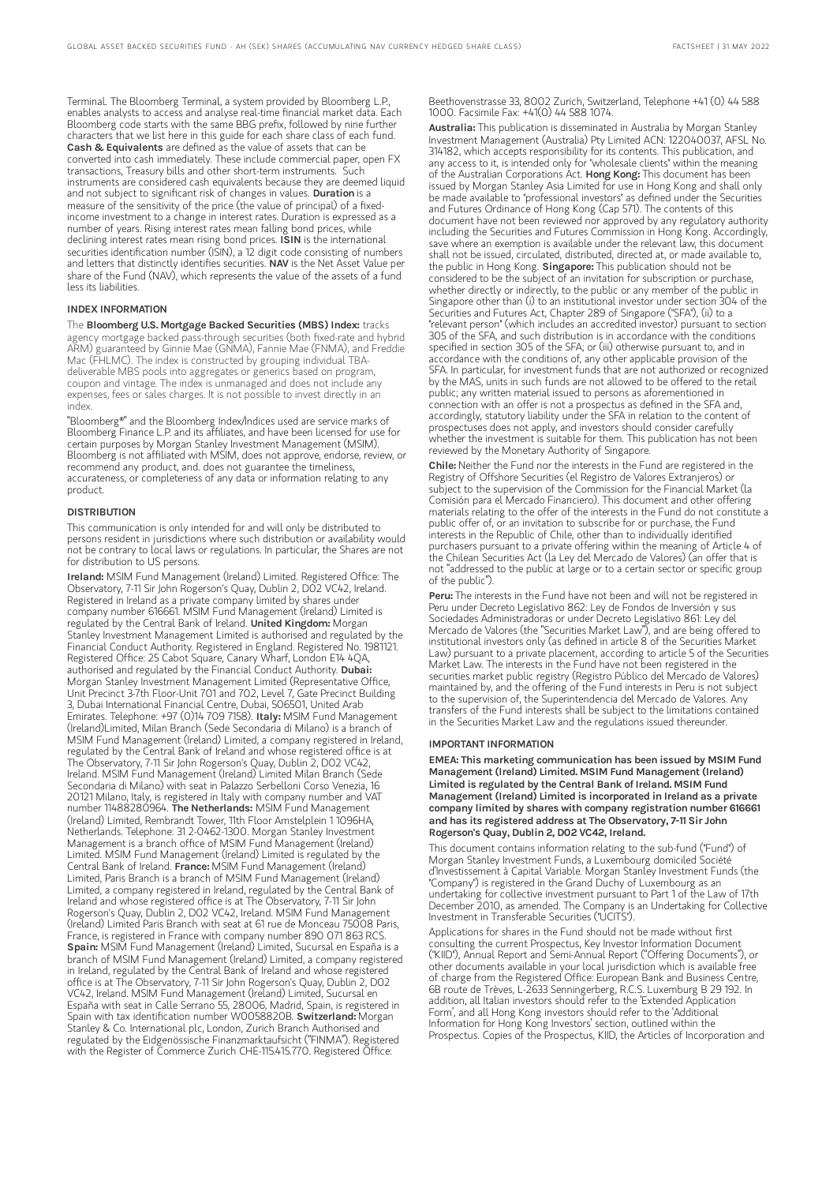Terminal. The Bloomberg Terminal, a system provided by Bloomberg L.P., enables analysts to access and analyse real-time financial market data. Each Bloomberg code starts with the same BBG prefix, followed by nine further characters that we list here in this guide for each share class of each fund. Cash & Equivalents are defined as the value of assets that can be converted into cash immediately. These include commercial paper, open FX transactions, Treasury bills and other short-term instruments. Such instruments are considered cash equivalents because they are deemed liquid and not subject to significant risk of changes in values. Duration is a measure of the sensitivity of the price (the value of principal) of a fixedincome investment to a change in interest rates. Duration is expressed as a number of years. Rising interest rates mean falling bond prices, while declining interest rates mean rising bond prices. ISIN is the international securities identification number (ISIN), a 12 digit code consisting of numbers and letters that distinctly identifies securities. NAV is the Net Asset Value per share of the Fund (NAV), which represents the value of the assets of a fund less its liabilities.

#### INDEX INFORMATION

The Bloomberg U.S. Mortgage Backed Securities (MBS) Index: tracks agency mortgage backed pass-through securities (both fixed-rate and hybrid ARM) guaranteed by Ginnie Mae (GNMA), Fannie Mae (FNMA), and Freddie Mac (FHLMC). The index is constructed by grouping individual TBAdeliverable MBS pools into aggregates or generics based on program, coupon and vintage. The index is unmanaged and does not include any expenses, fees or sales charges. It is not possible to invest directly in an index.

"Bloomberg®" and the Bloomberg Index/Indices used are service marks of Bloomberg Finance L.P. and its affiliates, and have been licensed for use for certain purposes by Morgan Stanley Investment Management (MSIM). Bloomberg is not affiliated with MSIM, does not approve, endorse, review, or recommend any product, and. does not guarantee the timeliness, accurateness, or completeness of any data or information relating to any product.

#### **DISTRIBUTION**

This communication is only intended for and will only be distributed to persons resident in jurisdictions where such distribution or availability would not be contrary to local laws or regulations. In particular, the Shares are not for distribution to US persons.

Ireland: MSIM Fund Management (Ireland) Limited. Registered Office: The Observatory, 7-11 Sir John Rogerson's Quay, Dublin 2, D02 VC42, Ireland. Registered in Ireland as a private company limited by shares under company number 616661. MSIM Fund Management (Ireland) Limited is regulated by the Central Bank of Ireland. United Kingdom: Morgan Stanley Investment Management Limited is authorised and regulated by the Financial Conduct Authority. Registered in England. Registered No. 1981121. Registered Office: 25 Cabot Square, Canary Wharf, London E14 4QA, authorised and regulated by the Financial Conduct Authority. Dubai: Morgan Stanley Investment Management Limited (Representative Office, Unit Precinct 3-7th Floor-Unit 701 and 702, Level 7, Gate Precinct Building 3, Dubai International Financial Centre, Dubai, 506501, United Arab Emirates. Telephone: +97 (0)14 709 7158). Italy: MSIM Fund Management (Ireland)Limited, Milan Branch (Sede Secondaria di Milano) is a branch of MSIM Fund Management (Ireland) Limited, a company registered in Ireland, regulated by the Central Bank of Ireland and whose registered office is at The Observatory, 7-11 Sir John Rogerson's Quay, Dublin 2, D02 VC42, Ireland. MSIM Fund Management (Ireland) Limited Milan Branch (Sede Secondaria di Milano) with seat in Palazzo Serbelloni Corso Venezia, 16 20121 Milano, Italy, is registered in Italy with company number and VAT<br>number 11488280964. **The Netherlands:** MSIM Fund Management (Ireland) Limited, Rembrandt Tower, 11th Floor Amstelplein 1 1096HA, Netherlands. Telephone: 31 2-0462-1300. Morgan Stanley Investment Management is a branch office of MSIM Fund Management (Ireland) Limited. MSIM Fund Management (Ireland) Limited is regulated by the<br>Central Bank of Ireland. **France:** MSIM Fund Management (Ireland) Limited, Paris Branch is a branch of MSIM Fund Management (Ireland) Limited, a company registered in Ireland, regulated by the Central Bank of Ireland and whose registered office is at The Observatory, 7-11 Sir John Rogerson's Quay, Dublin 2, D02 VC42, Ireland. MSIM Fund Management (Ireland) Limited Paris Branch with seat at 61 rue de Monceau 75008 Paris, France, is registered in France with company number 890 071 863 RCS. Spain: MSIM Fund Management (Ireland) Limited, Sucursal en España is a branch of MSIM Fund Management (Ireland) Limited, a company registered in Ireland, regulated by the Central Bank of Ireland and whose registered office is at The Observatory, 7-11 Sir John Rogerson's Quay, Dublin 2, D02 VC42, Ireland. MSIM Fund Management (Ireland) Limited, Sucursal en España with seat in Calle Serrano 55, 28006, Madrid, Spain, is registered in Spain with tax identification number W0058820B. Switzerland: Morgan Stanley & Co. International plc, London, Zurich Branch Authorised and regulated by the Eidgenössische Finanzmarktaufsicht ("FINMA"). Registered with the Register of Commerce Zurich CHE-115.415.770. Registered Office:

Beethovenstrasse 33, 8002 Zurich, Switzerland, Telephone +41 (0) 44 588 1000. Facsimile Fax: +41(0) 44 588 1074.

Australia: This publication is disseminated in Australia by Morgan Stanley Investment Management (Australia) Pty Limited ACN: 122040037, AFSL No. 314182, which accepts responsibility for its contents. This publication, and any access to it, is intended only for "wholesale clients" within the meaning of the Australian Corporations Act. Hong Kong: This document has been issued by Morgan Stanley Asia Limited for use in Hong Kong and shall only be made available to "professional investors" as defined under the Securities and Futures Ordinance of Hong Kong (Cap 571). The contents of this document have not been reviewed nor approved by any regulatory authority including the Securities and Futures Commission in Hong Kong. Accordingly, save where an exemption is available under the relevant law, this document shall not be issued, circulated, distributed, directed at, or made available to, the public in Hong Kong. Singapore: This publication should not be considered to be the subject of an invitation for subscription or purchase, whether directly or indirectly, to the public or any member of the public in Singapore other than (i) to an institutional investor under section 304 of the Securities and Futures Act, Chapter 289 of Singapore ("SFA"), (ii) to a "relevant person" (which includes an accredited investor) pursuant to section 305 of the SFA, and such distribution is in accordance with the conditions specified in section 305 of the SFA; or (iii) otherwise pursuant to, and in accordance with the conditions of, any other applicable provision of the SFA. In particular, for investment funds that are not authorized or recognized by the MAS, units in such funds are not allowed to be offered to the retail public; any written material issued to persons as aforementioned in connection with an offer is not a prospectus as defined in the SFA and, accordingly, statutory liability under the SFA in relation to the content of prospectuses does not apply, and investors should consider carefully whether the investment is suitable for them. This publication has not been reviewed by the Monetary Authority of Singapore.

Chile: Neither the Fund nor the interests in the Fund are registered in the Registry of Offshore Securities (el Registro de Valores Extranjeros) or subject to the supervision of the Commission for the Financial Market (la Comisión para el Mercado Financiero). This document and other offering materials relating to the offer of the interests in the Fund do not constitute a public offer of, or an invitation to subscribe for or purchase, the Fund interests in the Republic of Chile, other than to individually identified purchasers pursuant to a private offering within the meaning of Article 4 of the Chilean Securities Act (la Ley del Mercado de Valores) (an offer that is not "addressed to the public at large or to a certain sector or specific group of the public").

Peru: The interests in the Fund have not been and will not be registered in Peru under Decreto Legislativo 862: Ley de Fondos de Inversión y sus Sociedades Administradoras or under Decreto Legislativo 861: Ley del Mercado de Valores (the "Securities Market Law"), and are being offered to institutional investors only (as defined in article 8 of the Securities Market Law) pursuant to a private placement, according to article 5 of the Securities Market Law. The interests in the Fund have not been registered in the securities market public registry (Registro Público del Mercado de Valores) maintained by, and the offering of the Fund interests in Peru is not subject to the supervision of, the Superintendencia del Mercado de Valores. Any transfers of the Fund interests shall be subject to the limitations contained in the Securities Market Law and the regulations issued thereunder.

#### IMPORTANT INFORMATION

EMEA: This marketing communication has been issued by MSIM Fund Management (Ireland) Limited. MSIM Fund Management (Ireland) Limited is regulated by the Central Bank of Ireland. MSIM Fund Management (Ireland) Limited is incorporated in Ireland as a private company limited by shares with company registration number 616661 and has its registered address at The Observatory, 7-11 Sir John Rogerson's Quay, Dublin 2, D02 VC42, Ireland.

This document contains information relating to the sub-fund ("Fund") of Morgan Stanley Investment Funds, a Luxembourg domiciled Société d'Investissement à Capital Variable. Morgan Stanley Investment Funds (the "Company") is registered in the Grand Duchy of Luxembourg as an undertaking for collective investment pursuant to Part 1 of the Law of 17th December 2010, as amended. The Company is an Undertaking for Collective Investment in Transferable Securities ("UCITS").

Applications for shares in the Fund should not be made without first consulting the current Prospectus, Key Investor Information Document ("KIID"), Annual Report and Semi-Annual Report ("Offering Documents"), or other documents available in your local jurisdiction which is available free of charge from the Registered Office: European Bank and Business Centre, 6B route de Trèves, L-2633 Senningerberg, R.C.S. Luxemburg B 29 192. In addition, all Italian investors should refer to the 'Extended Application Form', and all Hong Kong investors should refer to the 'Additional Information for Hong Kong Investors' section, outlined within the Prospectus. Copies of the Prospectus, KIID, the Articles of Incorporation and